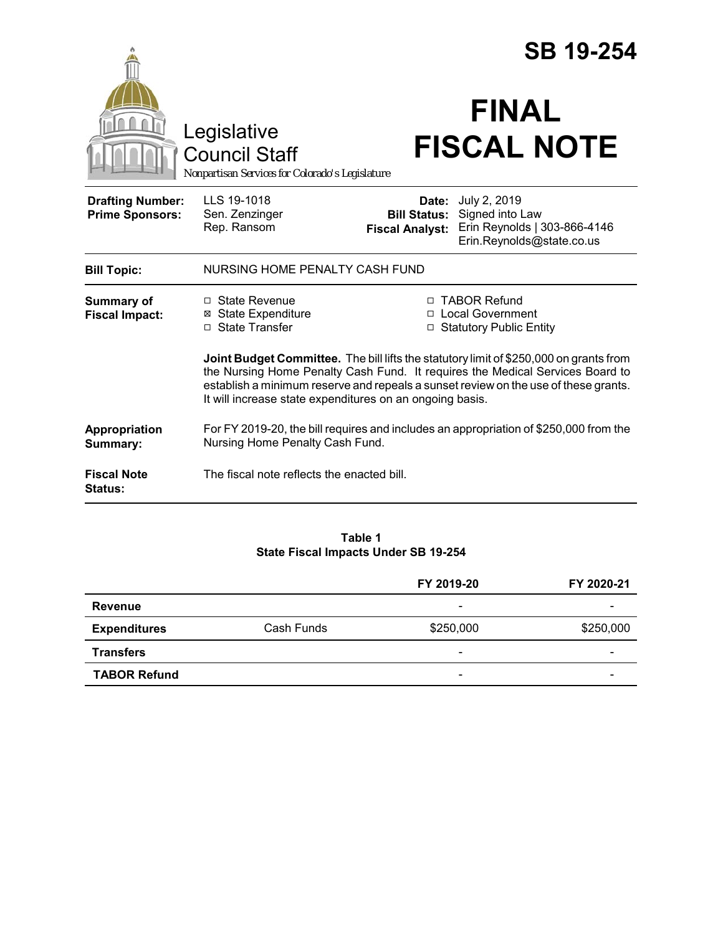|                                                   |                                                                                                                                                                                                                                                                                                                            | <b>SB 19-254</b>                                       |                                                                                              |  |
|---------------------------------------------------|----------------------------------------------------------------------------------------------------------------------------------------------------------------------------------------------------------------------------------------------------------------------------------------------------------------------------|--------------------------------------------------------|----------------------------------------------------------------------------------------------|--|
|                                                   | Legislative<br><b>Council Staff</b><br>Nonpartisan Services for Colorado's Legislature                                                                                                                                                                                                                                     |                                                        | <b>FINAL</b><br><b>FISCAL NOTE</b>                                                           |  |
| <b>Drafting Number:</b><br><b>Prime Sponsors:</b> | LLS 19-1018<br>Sen. Zenzinger<br>Rep. Ransom                                                                                                                                                                                                                                                                               | Date:<br><b>Bill Status:</b><br><b>Fiscal Analyst:</b> | July 2, 2019<br>Signed into Law<br>Erin Reynolds   303-866-4146<br>Erin.Reynolds@state.co.us |  |
| <b>Bill Topic:</b>                                | NURSING HOME PENALTY CASH FUND                                                                                                                                                                                                                                                                                             |                                                        |                                                                                              |  |
| <b>Summary of</b><br><b>Fiscal Impact:</b>        | $\Box$ State Revenue<br><b>⊠</b> State Expenditure<br>□ State Transfer                                                                                                                                                                                                                                                     |                                                        | □ TABOR Refund<br>□ Local Government<br>□ Statutory Public Entity                            |  |
|                                                   | Joint Budget Committee. The bill lifts the statutory limit of \$250,000 on grants from<br>the Nursing Home Penalty Cash Fund. It requires the Medical Services Board to<br>establish a minimum reserve and repeals a sunset review on the use of these grants.<br>It will increase state expenditures on an ongoing basis. |                                                        |                                                                                              |  |
| Appropriation<br>Summary:                         | For FY 2019-20, the bill requires and includes an appropriation of \$250,000 from the<br>Nursing Home Penalty Cash Fund.                                                                                                                                                                                                   |                                                        |                                                                                              |  |
| <b>Fiscal Note</b><br>Status:                     | The fiscal note reflects the enacted bill.                                                                                                                                                                                                                                                                                 |                                                        |                                                                                              |  |

#### **Table 1 State Fiscal Impacts Under SB 19-254**

|                     |            | FY 2019-20                   | FY 2020-21               |
|---------------------|------------|------------------------------|--------------------------|
| <b>Revenue</b>      |            | $\qquad \qquad \blacksquare$ |                          |
| <b>Expenditures</b> | Cash Funds | \$250,000                    | \$250,000                |
| <b>Transfers</b>    |            | $\overline{\phantom{0}}$     | $\overline{\phantom{a}}$ |
| <b>TABOR Refund</b> |            | -                            |                          |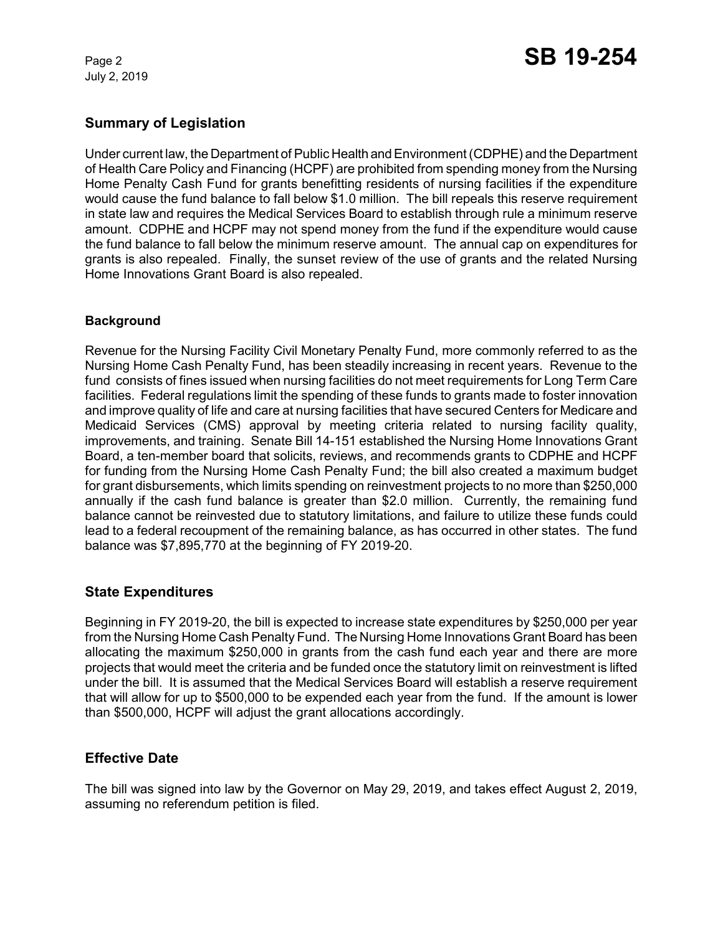July 2, 2019

# **Summary of Legislation**

Under current law, the Department of Public Health and Environment (CDPHE) and the Department of Health Care Policy and Financing (HCPF) are prohibited from spending money from the Nursing Home Penalty Cash Fund for grants benefitting residents of nursing facilities if the expenditure would cause the fund balance to fall below \$1.0 million. The bill repeals this reserve requirement in state law and requires the Medical Services Board to establish through rule a minimum reserve amount. CDPHE and HCPF may not spend money from the fund if the expenditure would cause the fund balance to fall below the minimum reserve amount. The annual cap on expenditures for grants is also repealed. Finally, the sunset review of the use of grants and the related Nursing Home Innovations Grant Board is also repealed.

### **Background**

Revenue for the Nursing Facility Civil Monetary Penalty Fund, more commonly referred to as the Nursing Home Cash Penalty Fund, has been steadily increasing in recent years. Revenue to the fund consists of fines issued when nursing facilities do not meet requirements for Long Term Care facilities. Federal regulations limit the spending of these funds to grants made to foster innovation and improve quality of life and care at nursing facilities that have secured Centers for Medicare and Medicaid Services (CMS) approval by meeting criteria related to nursing facility quality, improvements, and training. Senate Bill 14-151 established the Nursing Home Innovations Grant Board, a ten-member board that solicits, reviews, and recommends grants to CDPHE and HCPF for funding from the Nursing Home Cash Penalty Fund; the bill also created a maximum budget for grant disbursements, which limits spending on reinvestment projects to no more than \$250,000 annually if the cash fund balance is greater than \$2.0 million. Currently, the remaining fund balance cannot be reinvested due to statutory limitations, and failure to utilize these funds could lead to a federal recoupment of the remaining balance, as has occurred in other states. The fund balance was \$7,895,770 at the beginning of FY 2019-20.

## **State Expenditures**

Beginning in FY 2019-20, the bill is expected to increase state expenditures by \$250,000 per year from the Nursing Home Cash Penalty Fund. The Nursing Home Innovations Grant Board has been allocating the maximum \$250,000 in grants from the cash fund each year and there are more projects that would meet the criteria and be funded once the statutory limit on reinvestment is lifted under the bill. It is assumed that the Medical Services Board will establish a reserve requirement that will allow for up to \$500,000 to be expended each year from the fund. If the amount is lower than \$500,000, HCPF will adjust the grant allocations accordingly.

## **Effective Date**

The bill was signed into law by the Governor on May 29, 2019, and takes effect August 2, 2019, assuming no referendum petition is filed.